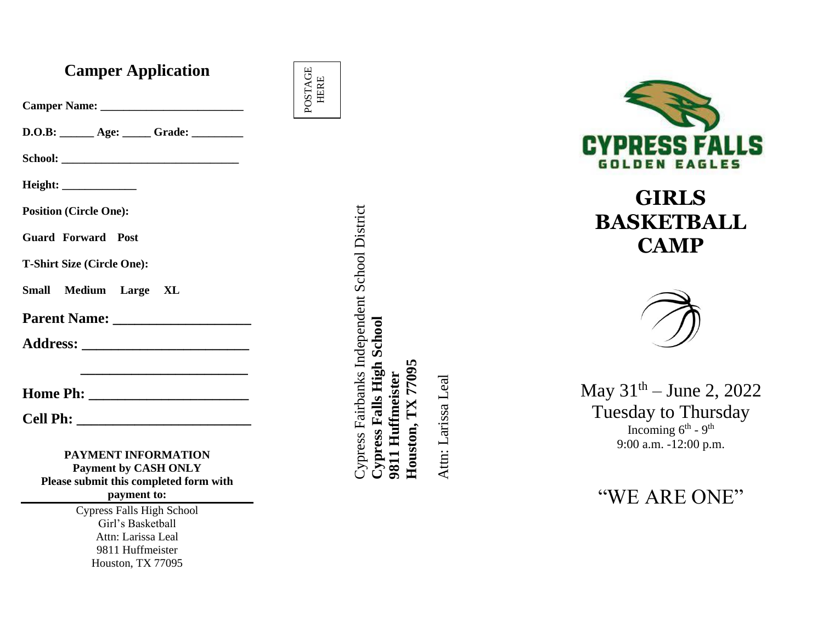## **Camper Application**

| D.O.B: ______ Age: _____ Grade: ______                                                                               |
|----------------------------------------------------------------------------------------------------------------------|
|                                                                                                                      |
| Height: _____________                                                                                                |
| <b>Position (Circle One):</b>                                                                                        |
| <b>Guard Forward Post</b>                                                                                            |
| <b>T-Shirt Size (Circle One):</b>                                                                                    |
| Small Medium Large XL                                                                                                |
|                                                                                                                      |
|                                                                                                                      |
| <u> 1989 - Johann John Stone, mars eta bat eta bat eta bat eta bat eta bat eta bat eta bat eta bat eta bat eta b</u> |
|                                                                                                                      |
| <b>Cell Ph:</b>                                                                                                      |

**PAYMENT INFORMATION Payment by CASH ONLY Please submit this completed form with payment to:**

> Cypress Falls High School Girl's Basketball Attn: Larissa Leal 9811 Huffmeister Houston, TX 77095

Cypress Fairbanks Independent School District Cypress Fairbanks Independent School District **Cypress Falls High School**  Cypress Falls High School Houston, TX 77095 **Houston, TX 77095** 9811 Huffmeister **9811 Huffmeister**

POSTAGE POSTAGE<br>HERE

> Attn: Larissa Leal Attn: Larissa Leal



# **GIRLS BASKETBALL CAMP**



May  $31<sup>th</sup> - June 2, 2022$ Tuesday to Thursday Incoming  $6^{th}$  -  $9^{th}$ 9:00 a.m. -12:00 p.m.

"WE ARE ONE"